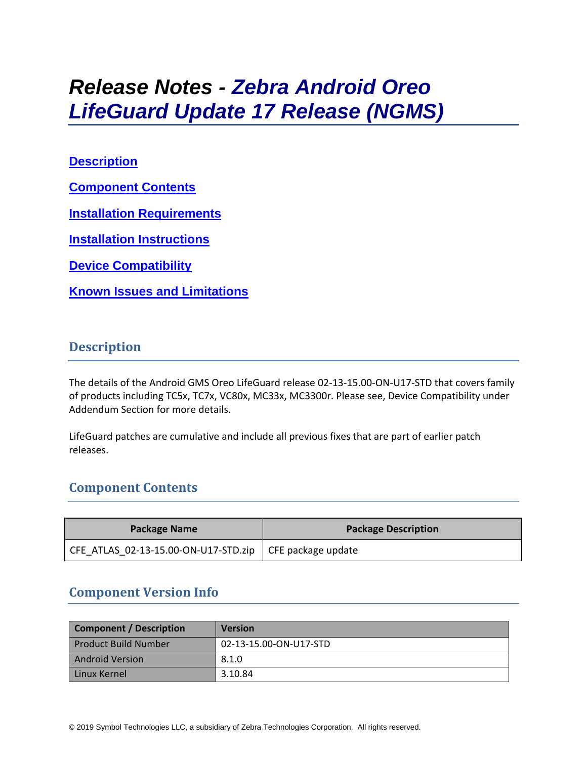# *Release Notes - Zebra Android Oreo LifeGuard Update 17 Release (NGMS)*

## **[Description](#page-0-0)**

**[Component Contents](#page-0-1)**

**[Installation Requirements](#page-7-0)**

**[Installation Instructions](#page-7-1)**

**[Device Compatibility](#page-9-0)**

**Known [Issues and Limitations](#page-9-1)**

## <span id="page-0-0"></span>**Description**

The details of the Android GMS Oreo LifeGuard release 02-13-15.00-ON-U17-STD that covers family of products including TC5x, TC7x, VC80x, MC33x, MC3300r. Please see, Device Compatibility under Addendum Section for more details.

LifeGuard patches are cumulative and include all previous fixes that are part of earlier patch releases.

## <span id="page-0-1"></span>**Component Contents**

| <b>Package Name</b>                                             | <b>Package Description</b> |
|-----------------------------------------------------------------|----------------------------|
| CFE ATLAS 02-13-15.00-ON-U17-STD.zip $\vert$ CFE package update |                            |

# **Component Version Info**

| <b>Component / Description</b> | <b>Version</b>         |
|--------------------------------|------------------------|
| <b>Product Build Number</b>    | 02-13-15.00-ON-U17-STD |
| <b>Android Version</b>         | 8.1.0                  |
| Linux Kernel                   | 3.10.84                |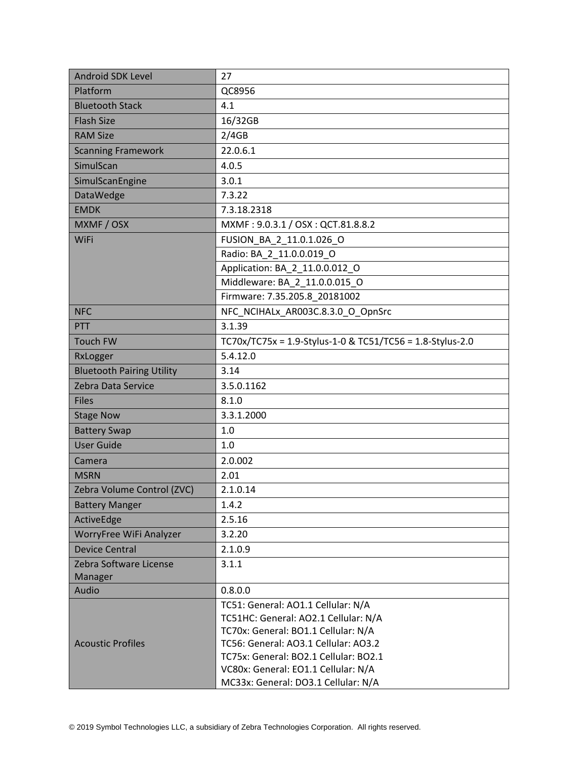| <b>Android SDK Level</b>         | 27                                                                                                                                                                                                                                        |  |
|----------------------------------|-------------------------------------------------------------------------------------------------------------------------------------------------------------------------------------------------------------------------------------------|--|
| Platform                         | QC8956                                                                                                                                                                                                                                    |  |
| <b>Bluetooth Stack</b>           | 4.1                                                                                                                                                                                                                                       |  |
| <b>Flash Size</b>                | 16/32GB                                                                                                                                                                                                                                   |  |
| <b>RAM Size</b>                  | 2/4GB                                                                                                                                                                                                                                     |  |
| <b>Scanning Framework</b>        | 22.0.6.1                                                                                                                                                                                                                                  |  |
| SimulScan                        | 4.0.5                                                                                                                                                                                                                                     |  |
| SimulScanEngine                  | 3.0.1                                                                                                                                                                                                                                     |  |
| DataWedge                        | 7.3.22                                                                                                                                                                                                                                    |  |
| <b>EMDK</b>                      | 7.3.18.2318                                                                                                                                                                                                                               |  |
| MXMF / OSX                       | MXMF: 9.0.3.1 / OSX: QCT.81.8.8.2                                                                                                                                                                                                         |  |
| <b>WiFi</b>                      | FUSION_BA_2_11.0.1.026_O                                                                                                                                                                                                                  |  |
|                                  | Radio: BA 2 11.0.0.019 O                                                                                                                                                                                                                  |  |
|                                  | Application: BA_2_11.0.0.012_O                                                                                                                                                                                                            |  |
|                                  | Middleware: BA_2_11.0.0.015 O                                                                                                                                                                                                             |  |
|                                  | Firmware: 7.35.205.8_20181002                                                                                                                                                                                                             |  |
| <b>NFC</b>                       | NFC_NCIHALx_AR003C.8.3.0_O_OpnSrc                                                                                                                                                                                                         |  |
| PTT                              | 3.1.39                                                                                                                                                                                                                                    |  |
| <b>Touch FW</b>                  | TC70x/TC75x = 1.9-Stylus-1-0 & TC51/TC56 = 1.8-Stylus-2.0                                                                                                                                                                                 |  |
| RxLogger                         | 5.4.12.0                                                                                                                                                                                                                                  |  |
| <b>Bluetooth Pairing Utility</b> | 3.14                                                                                                                                                                                                                                      |  |
| Zebra Data Service               | 3.5.0.1162                                                                                                                                                                                                                                |  |
| <b>Files</b>                     | 8.1.0                                                                                                                                                                                                                                     |  |
| <b>Stage Now</b>                 | 3.3.1.2000                                                                                                                                                                                                                                |  |
| <b>Battery Swap</b>              | 1.0                                                                                                                                                                                                                                       |  |
| <b>User Guide</b>                | 1.0                                                                                                                                                                                                                                       |  |
| Camera                           | 2.0.002                                                                                                                                                                                                                                   |  |
| <b>MSRN</b>                      | 2.01                                                                                                                                                                                                                                      |  |
| Zebra Volume Control (ZVC)       | 2.1.0.14                                                                                                                                                                                                                                  |  |
| <b>Battery Manger</b>            | 1.4.2                                                                                                                                                                                                                                     |  |
| ActiveEdge                       | 2.5.16                                                                                                                                                                                                                                    |  |
| WorryFree WiFi Analyzer          | 3.2.20                                                                                                                                                                                                                                    |  |
| <b>Device Central</b>            | 2.1.0.9                                                                                                                                                                                                                                   |  |
| Zebra Software License           | 3.1.1                                                                                                                                                                                                                                     |  |
| Manager                          |                                                                                                                                                                                                                                           |  |
| Audio                            | 0.8.0.0                                                                                                                                                                                                                                   |  |
| <b>Acoustic Profiles</b>         | TC51: General: AO1.1 Cellular: N/A<br>TC51HC: General: AO2.1 Cellular: N/A<br>TC70x: General: BO1.1 Cellular: N/A<br>TC56: General: AO3.1 Cellular: AO3.2<br>TC75x: General: BO2.1 Cellular: BO2.1<br>VC80x: General: EO1.1 Cellular: N/A |  |
|                                  | MC33x: General: DO3.1 Cellular: N/A                                                                                                                                                                                                       |  |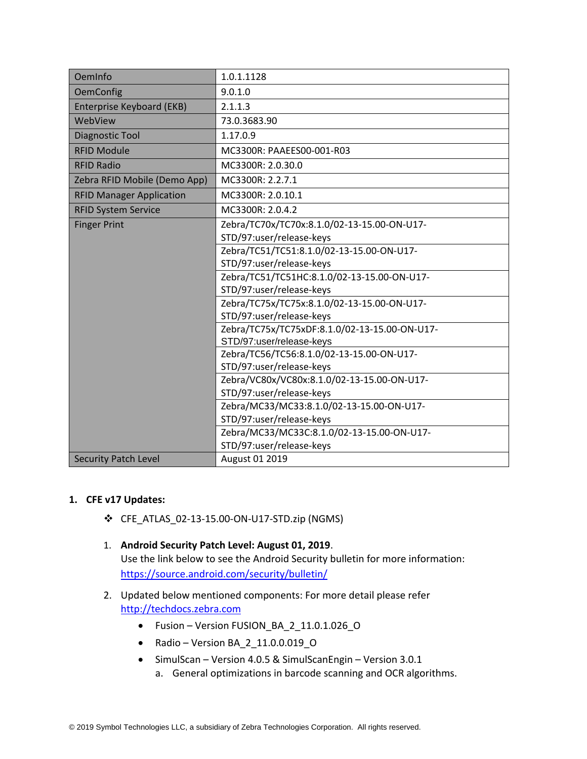| OemInfo                         | 1.0.1.1128                                    |  |
|---------------------------------|-----------------------------------------------|--|
| <b>OemConfig</b>                | 9.0.1.0                                       |  |
| Enterprise Keyboard (EKB)       | 2.1.1.3                                       |  |
| WebView                         | 73.0.3683.90                                  |  |
| Diagnostic Tool                 | 1.17.0.9                                      |  |
| <b>RFID Module</b>              | MC3300R: PAAEES00-001-R03                     |  |
| <b>RFID Radio</b>               | MC3300R: 2.0.30.0                             |  |
| Zebra RFID Mobile (Demo App)    | MC3300R: 2.2.7.1                              |  |
| <b>RFID Manager Application</b> | MC3300R: 2.0.10.1                             |  |
| <b>RFID System Service</b>      | MC3300R: 2.0.4.2                              |  |
| <b>Finger Print</b>             | Zebra/TC70x/TC70x:8.1.0/02-13-15.00-ON-U17-   |  |
|                                 | STD/97:user/release-keys                      |  |
|                                 | Zebra/TC51/TC51:8.1.0/02-13-15.00-ON-U17-     |  |
|                                 | STD/97:user/release-keys                      |  |
|                                 | Zebra/TC51/TC51HC:8.1.0/02-13-15.00-ON-U17-   |  |
|                                 | STD/97:user/release-keys                      |  |
|                                 | Zebra/TC75x/TC75x:8.1.0/02-13-15.00-ON-U17-   |  |
|                                 | STD/97:user/release-keys                      |  |
|                                 | Zebra/TC75x/TC75xDF:8.1.0/02-13-15.00-ON-U17- |  |
|                                 | STD/97:user/release-keys                      |  |
|                                 | Zebra/TC56/TC56:8.1.0/02-13-15.00-ON-U17-     |  |
|                                 | STD/97:user/release-keys                      |  |
|                                 | Zebra/VC80x/VC80x:8.1.0/02-13-15.00-ON-U17-   |  |
|                                 | STD/97:user/release-keys                      |  |
|                                 | Zebra/MC33/MC33:8.1.0/02-13-15.00-ON-U17-     |  |
|                                 | STD/97:user/release-keys                      |  |
|                                 | Zebra/MC33/MC33C:8.1.0/02-13-15.00-ON-U17-    |  |
|                                 | STD/97:user/release-keys                      |  |
| <b>Security Patch Level</b>     | August 01 2019                                |  |

#### **1. CFE v17 Updates:**

- ❖ CFE\_ATLAS\_02-13-15.00-ON-U17-STD.zip (NGMS)
- 1. **Android Security Patch Level: August 01, 2019**. Use the link below to see the Android Security bulletin for more information: <https://source.android.com/security/bulletin/>
- 2. Updated below mentioned components: For more detail please refer [http://techdocs.zebra.com](http://techdocs.zebra.com/)
	- Fusion Version FUSION\_BA\_2\_11.0.1.026\_O
	- Radio Version BA\_2\_11.0.0.019\_O
	- SimulScan Version 4.0.5 & SimulScanEngin Version 3.0.1 a. General optimizations in barcode scanning and OCR algorithms.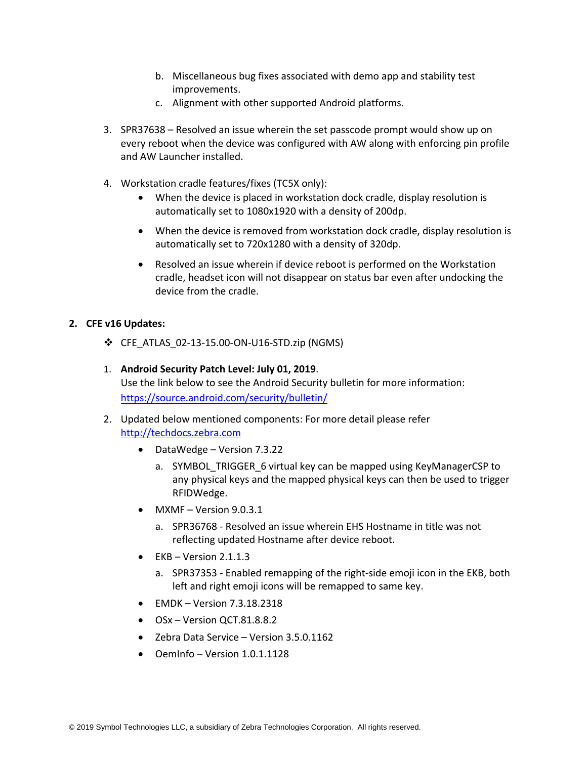- b. Miscellaneous bug fixes associated with demo app and stability test improvements.
- c. Alignment with other supported Android platforms.
- 3. SPR37638 Resolved an issue wherein the set passcode prompt would show up on every reboot when the device was configured with AW along with enforcing pin profile and AW Launcher installed.
- 4. Workstation cradle features/fixes (TC5X only):
	- When the device is placed in workstation dock cradle, display resolution is automatically set to 1080x1920 with a density of 200dp.
	- When the device is removed from workstation dock cradle, display resolution is automatically set to 720x1280 with a density of 320dp.
	- Resolved an issue wherein if device reboot is performed on the Workstation cradle, headset icon will not disappear on status bar even after undocking the device from the cradle.

#### **2. CFE v16 Updates:**

- ❖ CFE\_ATLAS\_02-13-15.00-ON-U16-STD.zip (NGMS)
- 1. **Android Security Patch Level: July 01, 2019**. Use the link below to see the Android Security bulletin for more information: <https://source.android.com/security/bulletin/>
- 2. Updated below mentioned components: For more detail please refer [http://techdocs.zebra.com](http://techdocs.zebra.com/)
	- DataWedge Version 7.3.22
		- a. SYMBOL\_TRIGGER\_6 virtual key can be mapped using KeyManagerCSP to any physical keys and the mapped physical keys can then be used to trigger RFIDWedge.
	- $MXMF Version 9.0.3.1$ 
		- a. SPR36768 Resolved an issue wherein EHS Hostname in title was not reflecting updated Hostname after device reboot.
	- $\bullet$  EKB Version 2.1.1.3
		- a. SPR37353 Enabled remapping of the right-side emoji icon in the EKB, both left and right emoji icons will be remapped to same key.
	- $\bullet$  FMDK Version 7.3.18.2318
	- OSx Version QCT.81.8.8.2
	- Zebra Data Service Version 3.5.0.1162
	- OemInfo Version 1.0.1.1128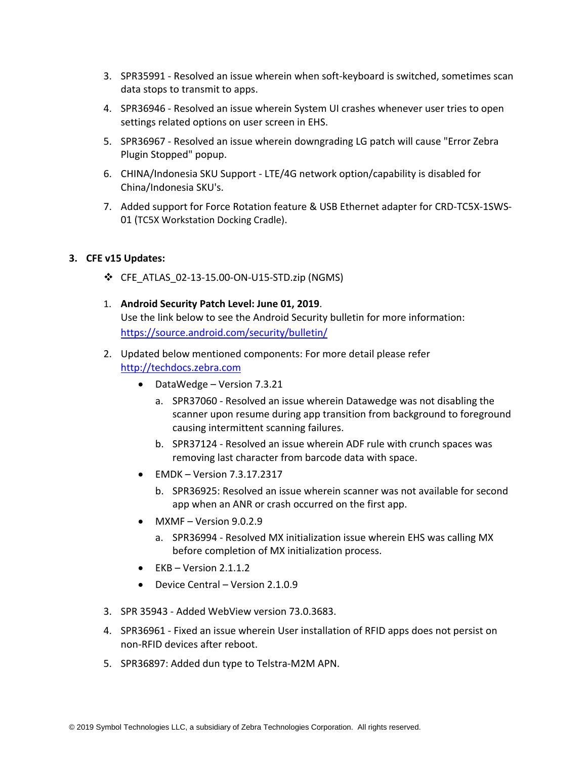- 3. SPR35991 Resolved an issue wherein when soft-keyboard is switched, sometimes scan data stops to transmit to apps.
- 4. SPR36946 Resolved an issue wherein System UI crashes whenever user tries to open settings related options on user screen in EHS.
- 5. SPR36967 Resolved an issue wherein downgrading LG patch will cause "Error Zebra Plugin Stopped" popup.
- 6. CHINA/Indonesia SKU Support LTE/4G network option/capability is disabled for China/Indonesia SKU's.
- 7. Added support for Force Rotation feature & USB Ethernet adapter for CRD-TC5X-1SWS-01 (TC5X Workstation Docking Cradle).

#### **3. CFE v15 Updates:**

- ❖ CFE\_ATLAS\_02-13-15.00-ON-U15-STD.zip (NGMS)
- 1. **Android Security Patch Level: June 01, 2019**. Use the link below to see the Android Security bulletin for more information: <https://source.android.com/security/bulletin/>
- 2. Updated below mentioned components: For more detail please refer [http://techdocs.zebra.com](http://techdocs.zebra.com/)
	- DataWedge Version 7.3.21
		- a. SPR37060 Resolved an issue wherein Datawedge was not disabling the scanner upon resume during app transition from background to foreground causing intermittent scanning failures.
		- b. SPR37124 Resolved an issue wherein ADF rule with crunch spaces was removing last character from barcode data with space.
	- EMDK Version 7.3.17.2317
		- b. SPR36925: Resolved an issue wherein scanner was not available for second app when an ANR or crash occurred on the first app.
	- MXMF Version 9.0.2.9
		- a. SPR36994 Resolved MX initialization issue wherein EHS was calling MX before completion of MX initialization process.
	- $\bullet$  EKB Version 2.1.1.2
	- Device Central Version 2.1.0.9
- 3. SPR 35943 Added WebView version 73.0.3683.
- 4. SPR36961 Fixed an issue wherein User installation of RFID apps does not persist on non-RFID devices after reboot.
- 5. SPR36897: Added dun type to Telstra-M2M APN.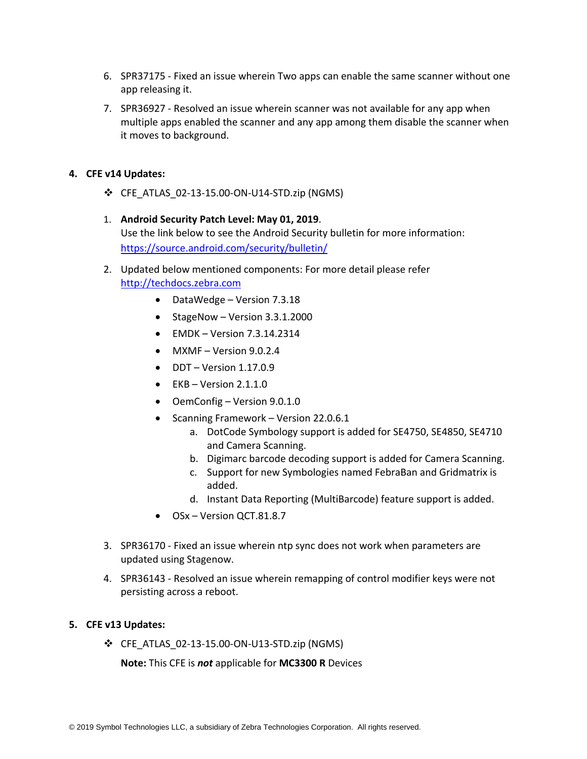- 6. SPR37175 Fixed an issue wherein Two apps can enable the same scanner without one app releasing it.
- 7. SPR36927 Resolved an issue wherein scanner was not available for any app when multiple apps enabled the scanner and any app among them disable the scanner when it moves to background.

#### **4. CFE v14 Updates:**

- ❖ CFE\_ATLAS\_02-13-15.00-ON-U14-STD.zip (NGMS)
- 1. **Android Security Patch Level: May 01, 2019**. Use the link below to see the Android Security bulletin for more information: <https://source.android.com/security/bulletin/>
- 2. Updated below mentioned components: For more detail please refer [http://techdocs.zebra.com](http://techdocs.zebra.com/)
	- DataWedge Version 7.3.18
	- StageNow Version 3.3.1.2000
	- $\bullet$  EMDK Version 7.3.14.2314
	- $MXMF Version 9.0.2.4$
	- $\bullet$  DDT Version 1.17.0.9
	- $\bullet$  EKB Version 2.1.1.0
	- OemConfig Version 9.0.1.0
	- Scanning Framework Version 22.0.6.1
		- a. DotCode Symbology support is added for SE4750, SE4850, SE4710 and Camera Scanning.
		- b. Digimarc barcode decoding support is added for Camera Scanning.
		- c. Support for new Symbologies named FebraBan and Gridmatrix is added.
		- d. Instant Data Reporting (MultiBarcode) feature support is added.
	- OSx Version QCT.81.8.7
- 3. SPR36170 Fixed an issue wherein ntp sync does not work when parameters are updated using Stagenow.
- 4. SPR36143 Resolved an issue wherein remapping of control modifier keys were not persisting across a reboot.

#### **5. CFE v13 Updates:**

❖ CFE\_ATLAS\_02-13-15.00-ON-U13-STD.zip (NGMS)

**Note:** This CFE is *not* applicable for **MC3300 R** Devices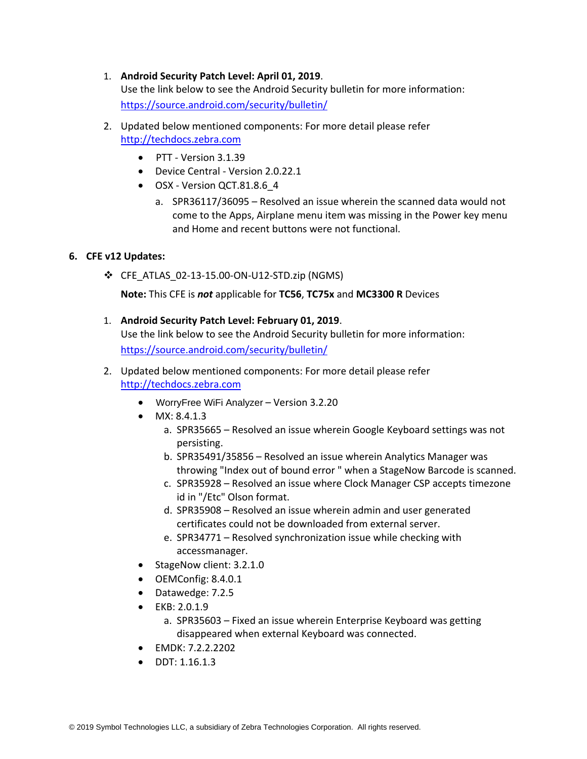#### 1. **Android Security Patch Level: April 01, 2019**.

Use the link below to see the Android Security bulletin for more information: <https://source.android.com/security/bulletin/>

- 2. Updated below mentioned components: For more detail please refer [http://techdocs.zebra.com](http://techdocs.zebra.com/)
	- PTT Version 3.1.39
	- Device Central Version 2.0.22.1
	- OSX Version QCT.81.8.6\_4
		- a. SPR36117/36095 Resolved an issue wherein the scanned data would not come to the Apps, Airplane menu item was missing in the Power key menu and Home and recent buttons were not functional.

#### **6. CFE v12 Updates:**

❖ CFE\_ATLAS\_02-13-15.00-ON-U12-STD.zip (NGMS)

**Note:** This CFE is *not* applicable for **TC56**, **TC75x** and **MC3300 R** Devices

- 1. **Android Security Patch Level: February 01, 2019**. Use the link below to see the Android Security bulletin for more information: <https://source.android.com/security/bulletin/>
- 2. Updated below mentioned components: For more detail please refer [http://techdocs.zebra.com](http://techdocs.zebra.com/)
	- WorryFree WiFi Analyzer Version 3.2.20
	- MX: 8.4.1.3
		- a. SPR35665 Resolved an issue wherein Google Keyboard settings was not persisting.
		- b. SPR35491/35856 Resolved an issue wherein Analytics Manager was throwing "Index out of bound error " when a StageNow Barcode is scanned.
		- c. SPR35928 Resolved an issue where Clock Manager CSP accepts timezone id in "/Etc" Olson format.
		- d. SPR35908 Resolved an issue wherein admin and user generated certificates could not be downloaded from external server.
		- e. SPR34771 Resolved synchronization issue while checking with accessmanager.
	- StageNow client: 3.2.1.0
	- OEMConfig: 8.4.0.1
	- Datawedge: 7.2.5
	- EKB: 2.0.1.9
		- a. SPR35603 Fixed an issue wherein Enterprise Keyboard was getting disappeared when external Keyboard was connected.
	- EMDK: 7.2.2.2202
	- DDT: 1.16.1.3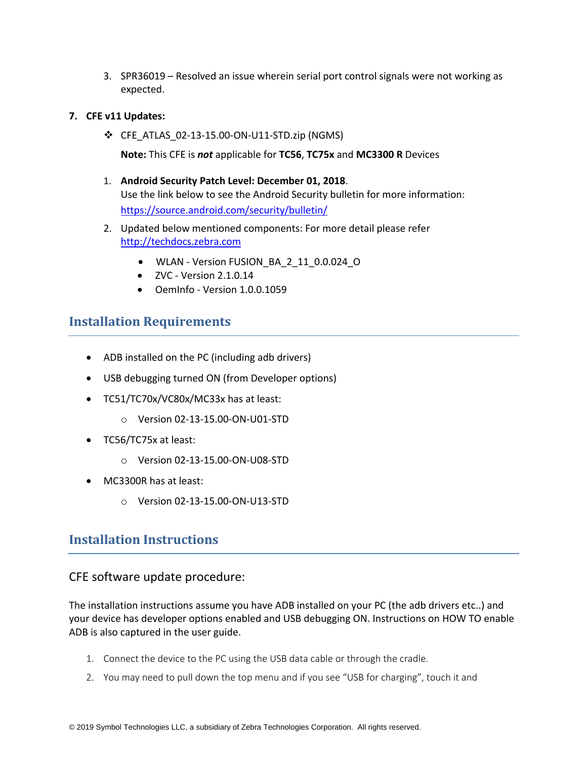3. SPR36019 – Resolved an issue wherein serial port control signals were not working as expected.

#### **7. CFE v11 Updates:**

❖ CFE\_ATLAS\_02-13-15.00-ON-U11-STD.zip (NGMS)

**Note:** This CFE is *not* applicable for **TC56**, **TC75x** and **MC3300 R** Devices

- 1. **Android Security Patch Level: December 01, 2018**. Use the link below to see the Android Security bulletin for more information: <https://source.android.com/security/bulletin/>
- 2. Updated below mentioned components: For more detail please refer [http://techdocs.zebra.com](http://techdocs.zebra.com/)
	- WLAN Version FUSION\_BA\_2\_11\_0.0.024\_O
	- $\bullet$  ZVC Version 2.1.0.14
	- OemInfo Version 1.0.0.1059

## <span id="page-7-0"></span>**Installation Requirements**

- ADB installed on the PC (including adb drivers)
- USB debugging turned ON (from Developer options)
- TC51/TC70x/VC80x/MC33x has at least:
	- o Version 02-13-15.00-ON-U01-STD
- TC56/TC75x at least:
	- o Version 02-13-15.00-ON-U08-STD
- MC3300R has at least:
	- o Version 02-13-15.00-ON-U13-STD

## <span id="page-7-1"></span>**Installation Instructions**

### CFE software update procedure:

The installation instructions assume you have ADB installed on your PC (the adb drivers etc..) and your device has developer options enabled and USB debugging ON. Instructions on HOW TO enable ADB is also captured in the user guide.

- 1. Connect the device to the PC using the USB data cable or through the cradle.
- 2. You may need to pull down the top menu and if you see "USB for charging", touch it and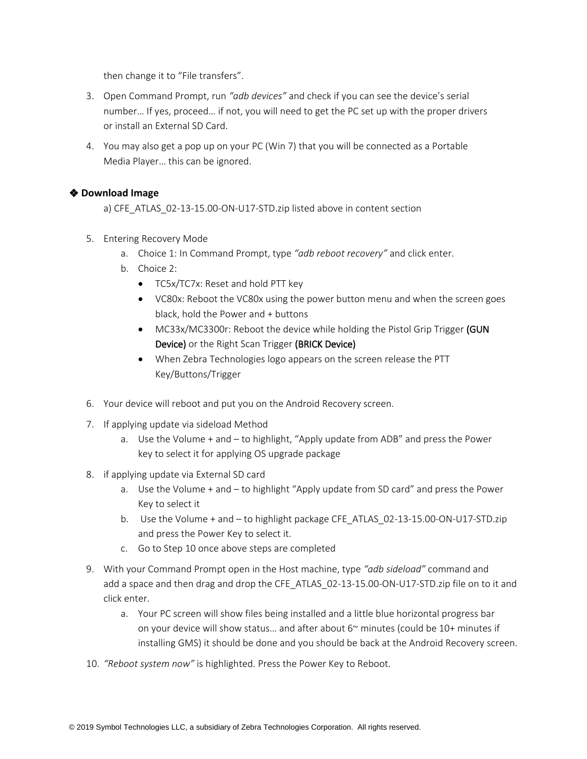then change it to "File transfers".

- 3. Open Command Prompt, run *"adb devices"* and check if you can see the device's serial number… If yes, proceed… if not, you will need to get the PC set up with the proper drivers or install an External SD Card.
- 4. You may also get a pop up on your PC (Win 7) that you will be connected as a Portable Media Player… this can be ignored.

#### ❖ **Download Image**

a) CFE\_ATLAS\_02-13-15.00-ON-U17-STD.zip listed above in content section

- 5. Entering Recovery Mode
	- a. Choice 1: In Command Prompt, type *"adb reboot recovery"* and click enter.
	- b. Choice 2:
		- TC5x/TC7x: Reset and hold PTT key
		- VC80x: Reboot the VC80x using the power button menu and when the screen goes black, hold the Power and + buttons
		- MC33x/MC3300r: Reboot the device while holding the Pistol Grip Trigger (GUN Device) or the Right Scan Trigger (BRICK Device)
		- When Zebra Technologies logo appears on the screen release the PTT Key/Buttons/Trigger
- 6. Your device will reboot and put you on the Android Recovery screen.
- 7. If applying update via sideload Method
	- a. Use the Volume + and to highlight, "Apply update from ADB" and press the Power key to select it for applying OS upgrade package
- 8. if applying update via External SD card
	- a. Use the Volume + and to highlight "Apply update from SD card" and press the Power Key to select it
	- b. Use the Volume + and to highlight package CFE\_ATLAS\_02-13-15.00-ON-U17-STD.zip and press the Power Key to select it.
	- c. Go to Step 10 once above steps are completed
- 9. With your Command Prompt open in the Host machine, type *"adb sideload"* command and add a space and then drag and drop the CFE\_ATLAS\_02-13-15.00-ON-U17-STD.zip file on to it and click enter.
	- a. Your PC screen will show files being installed and a little blue horizontal progress bar on your device will show status... and after about  $6<sup>th</sup>$  minutes (could be 10+ minutes if installing GMS) it should be done and you should be back at the Android Recovery screen.
- 10. *"Reboot system now"* is highlighted. Press the Power Key to Reboot.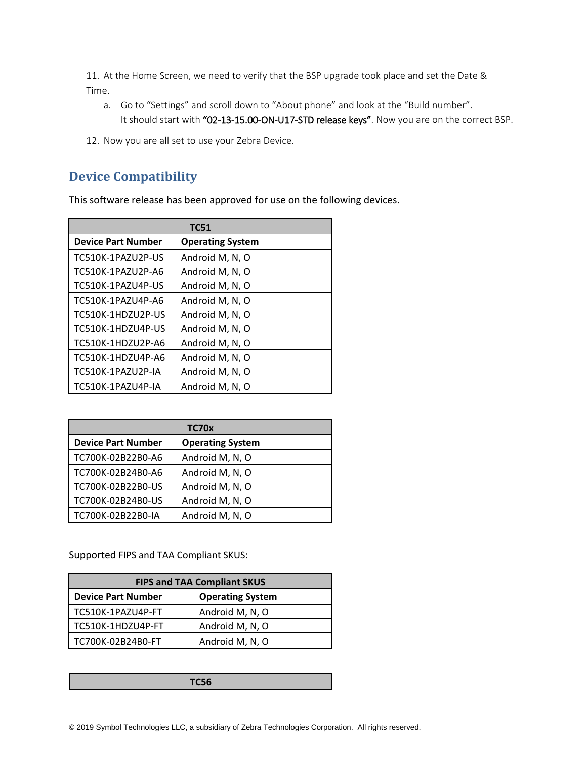11. At the Home Screen, we need to verify that the BSP upgrade took place and set the Date & Time.

- <span id="page-9-1"></span>a. Go to "Settings" and scroll down to "About phone" and look at the "Build number". It should start with "02-13-15.00-ON-U17-STD release keys". Now you are on the correct BSP.
- 12. Now you are all set to use your Zebra Device.

# <span id="page-9-0"></span>**Device Compatibility**

This software release has been approved for use on the following devices.

| <b>TC51</b>               |                         |  |
|---------------------------|-------------------------|--|
| <b>Device Part Number</b> | <b>Operating System</b> |  |
| TC510K-1PAZU2P-US         | Android M, N, O         |  |
| TC510K-1PAZU2P-A6         | Android M, N, O         |  |
| TC510K-1PAZU4P-US         | Android M, N, O         |  |
| TC510K-1PAZU4P-A6         | Android M, N, O         |  |
| TC510K-1HDZU2P-US         | Android M, N, O         |  |
| TC510K-1HDZU4P-US         | Android M, N, O         |  |
| TC510K-1HDZU2P-A6         | Android M, N, O         |  |
| TC510K-1HDZU4P-A6         | Android M, N, O         |  |
| TC510K-1PAZU2P-IA         | Android M, N, O         |  |
| TC510K-1PAZU4P-IA         | Android M, N, O         |  |

| TC70x                     |                         |  |
|---------------------------|-------------------------|--|
| <b>Device Part Number</b> | <b>Operating System</b> |  |
| TC700K-02B22B0-A6         | Android M, N, O         |  |
| TC700K-02B24B0-A6         | Android M, N, O         |  |
| TC700K-02B22B0-US         | Android M, N, O         |  |
| TC700K-02B24B0-US         | Android M, N, O         |  |
| TC700K-02B22B0-IA         | Android M, N, O         |  |

Supported FIPS and TAA Compliant SKUS:

| <b>FIPS and TAA Compliant SKUS</b>                   |                 |  |
|------------------------------------------------------|-----------------|--|
| <b>Operating System</b><br><b>Device Part Number</b> |                 |  |
| TC510K-1PAZU4P-FT                                    | Android M, N, O |  |
| TC510K-1HDZU4P-FT                                    | Android M, N, O |  |
| TC700K-02B24B0-FT                                    | Android M, N, O |  |

**TC56**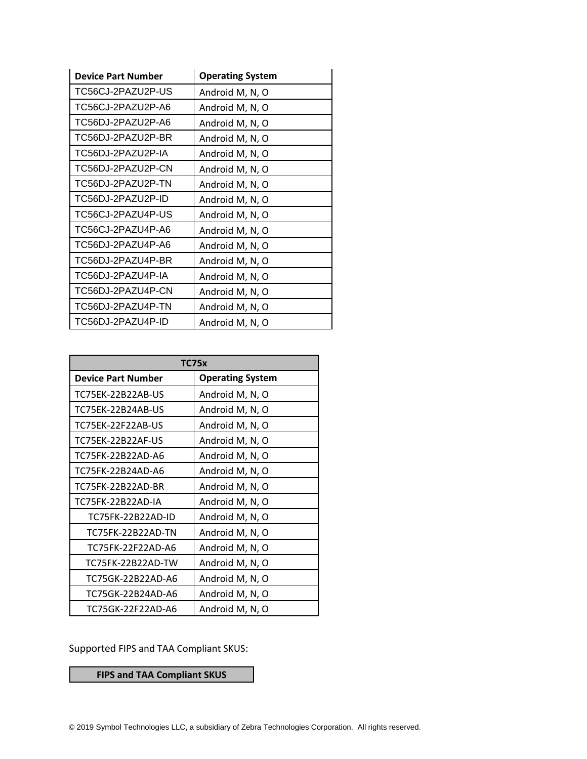| <b>Device Part Number</b> | <b>Operating System</b> |
|---------------------------|-------------------------|
| TC56CJ-2PAZU2P-US         | Android M, N, O         |
| TC56CJ-2PAZU2P-A6         | Android M, N, O         |
| TC56DJ-2PAZU2P-A6         | Android M, N, O         |
| TC56DJ-2PAZU2P-BR         | Android M, N, O         |
| TC56DJ-2PAZU2P-IA         | Android M, N, O         |
| TC56DJ-2PAZU2P-CN         | Android M, N, O         |
| TC56DJ-2PAZU2P-TN         | Android M, N, O         |
| TC56DJ-2PAZU2P-ID         | Android M, N, O         |
| TC56CJ-2PAZU4P-US         | Android M, N, O         |
| TC56CJ-2PAZU4P-A6         | Android M, N, O         |
| TC56DJ-2PAZU4P-A6         | Android M, N, O         |
| TC56DJ-2PAZU4P-BR         | Android M, N, O         |
| TC56DJ-2PAZU4P-IA         | Android M, N, O         |
| TC56DJ-2PAZU4P-CN         | Android M, N, O         |
| TC56DJ-2PAZU4P-TN         | Android M, N, O         |
| TC56DJ-2PAZU4P-ID         | Android M, N, O         |

| <b>TC75x</b>              |                         |  |
|---------------------------|-------------------------|--|
| <b>Device Part Number</b> | <b>Operating System</b> |  |
| TC75EK-22B22AB-US         | Android M, N, O         |  |
| TC75EK-22B24AB-US         | Android M, N, O         |  |
| TC75EK-22F22AB-US         | Android M, N, O         |  |
| TC75EK-22B22AF-US         | Android M, N, O         |  |
| TC75FK-22B22AD-A6         | Android M, N, O         |  |
| TC75FK-22B24AD-A6         | Android M, N, O         |  |
| TC75FK-22B22AD-BR         | Android M, N, O         |  |
| TC75FK-22B22AD-IA         | Android M, N, O         |  |
| TC75FK-22B22AD-ID         | Android M, N, O         |  |
| TC75FK-22B22AD-TN         | Android M, N, O         |  |
| TC75FK-22F22AD-A6         | Android M, N, O         |  |
| TC75FK-22B22AD-TW         | Android M, N, O         |  |
| TC75GK-22B22AD-A6         | Android M, N, O         |  |
| TC75GK-22B24AD-A6         | Android M, N, O         |  |
| TC75GK-22F22AD-A6         | Android M, N, O         |  |

Supported FIPS and TAA Compliant SKUS:

**FIPS and TAA Compliant SKUS**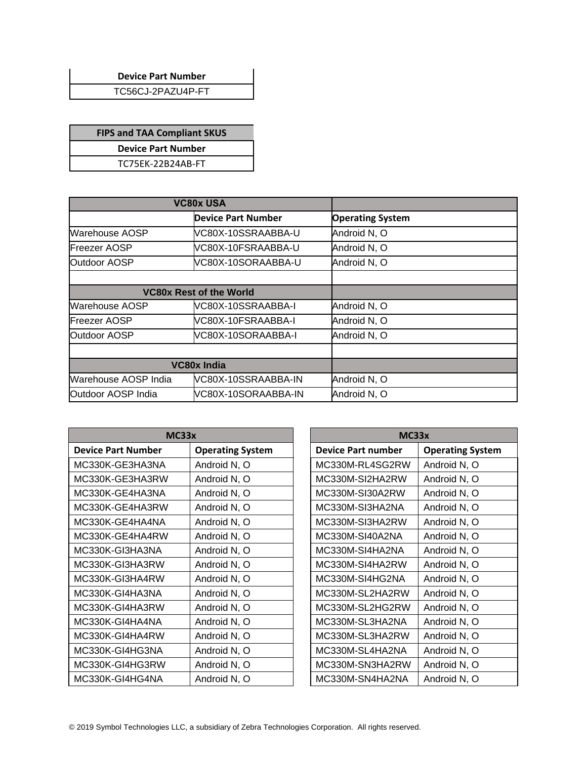**Device Part Number**

TC56CJ-2PAZU4P-FT

**FIPS and TAA Compliant SKUS**

**Device Part Number**

TC75EK-22B24AB-FT

|                      | <b>VC80x USA</b>               |                         |
|----------------------|--------------------------------|-------------------------|
|                      | <b>Device Part Number</b>      | <b>Operating System</b> |
| Warehouse AOSP       | VC80X-10SSRAABBA-U             | Android N, O            |
| <b>Freezer AOSP</b>  | VC80X-10FSRAABBA-U             | Android N, O            |
| Outdoor AOSP         | VC80X-10SORAABBA-U             | Android N, O            |
|                      |                                |                         |
|                      | <b>VC80x Rest of the World</b> |                         |
| Warehouse AOSP       | VC80X-10SSRAABBA-I             | Android N, O            |
| <b>Freezer AOSP</b>  | VC80X-10FSRAABBA-I             | Android N, O            |
| Outdoor AOSP         | VC80X-10SORAABBA-I             | Android N, O            |
|                      |                                |                         |
|                      | <b>VC80x India</b>             |                         |
| Warehouse AOSP India | VC80X-10SSRAABBA-IN            | Android N, O            |
| Outdoor AOSP India   | VC80X-10SORAABBA-IN            | Android N, O            |

| MC33x                     |                         | MC33x                     |                         |
|---------------------------|-------------------------|---------------------------|-------------------------|
| <b>Device Part Number</b> | <b>Operating System</b> | <b>Device Part number</b> | <b>Operating System</b> |
| MC330K-GE3HA3NA           | Android N, O            | MC330M-RL4SG2RW           | Android N, O            |
| MC330K-GE3HA3RW           | Android N, O            | MC330M-SI2HA2RW           | Android N, O            |
| MC330K-GE4HA3NA           | Android N, O            | MC330M-SI30A2RW           | Android N, O            |
| MC330K-GE4HA3RW           | Android N, O            | MC330M-SI3HA2NA           | Android N, O            |
| MC330K-GE4HA4NA           | Android N, O            | MC330M-SI3HA2RW           | Android N, O            |
| MC330K-GE4HA4RW           | Android N, O            | MC330M-SI40A2NA           | Android N, O            |
| MC330K-GI3HA3NA           | Android N, O            | MC330M-SI4HA2NA           | Android N, O            |
| MC330K-GI3HA3RW           | Android N, O            | MC330M-SI4HA2RW           | Android N, O            |
| MC330K-GI3HA4RW           | Android N, O            | MC330M-SI4HG2NA           | Android N, O            |
| MC330K-GI4HA3NA           | Android N, O            | MC330M-SL2HA2RW           | Android N, O            |
| MC330K-GI4HA3RW           | Android N, O            | MC330M-SL2HG2RW           | Android N, O            |
| MC330K-GI4HA4NA           | Android N, O            | MC330M-SL3HA2NA           | Android N, O            |
| MC330K-GI4HA4RW           | Android N, O            | MC330M-SL3HA2RW           | Android N, O            |
| MC330K-GI4HG3NA           | Android N, O            | MC330M-SL4HA2NA           | Android N, O            |
| MC330K-GI4HG3RW           | Android N, O            | MC330M-SN3HA2RW           | Android N, O            |
| MC330K-GI4HG4NA           | Android N, O            | MC330M-SN4HA2NA           | Android N, O            |

| MC33x                     |                         |  |
|---------------------------|-------------------------|--|
| <b>Device Part number</b> | <b>Operating System</b> |  |
| MC330M-RL4SG2RW           | Android N, O            |  |
| MC330M-SI2HA2RW           | Android N, O            |  |
| MC330M-SI30A2RW           | Android N, O            |  |
| MC330M-SI3HA2NA           | Android N, O            |  |
| MC330M-SI3HA2RW           | Android N, O            |  |
| MC330M-SI40A2NA           | Android N, O            |  |
| MC330M-SI4HA2NA           | Android N, O            |  |
| MC330M-SI4HA2RW           | Android N, O            |  |
| MC330M-SI4HG2NA           | Android N, O            |  |
| MC330M-SL2HA2RW           | Android N, O            |  |
| MC330M-SL2HG2RW           | Android N, O            |  |
| MC330M-SL3HA2NA           | Android N, O            |  |
| MC330M-SL3HA2RW           | Android N, O            |  |
| MC330M-SL4HA2NA           | Android N, O            |  |
| MC330M-SN3HA2RW           | Android N, O            |  |
| MC330M-SN4HA2NA           | Android N, O            |  |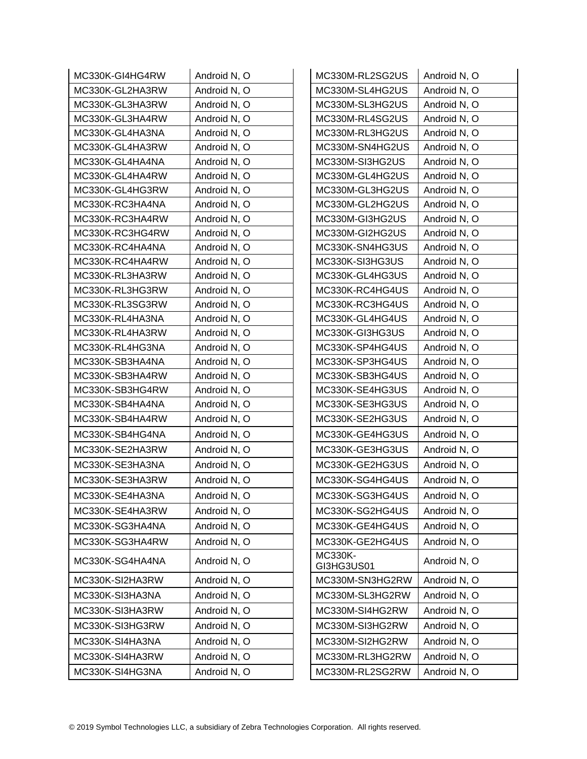| MC330K-GI4HG4RW | Android N, O | MC330M-RL2SG2US              | Android N, O |
|-----------------|--------------|------------------------------|--------------|
| MC330K-GL2HA3RW | Android N, O | MC330M-SL4HG2US              | Android N, O |
| MC330K-GL3HA3RW | Android N, O | MC330M-SL3HG2US              | Android N, O |
| MC330K-GL3HA4RW | Android N, O | MC330M-RL4SG2US              | Android N, O |
| MC330K-GL4HA3NA | Android N, O | MC330M-RL3HG2US              | Android N, O |
| MC330K-GL4HA3RW | Android N, O | MC330M-SN4HG2US              | Android N, O |
| MC330K-GL4HA4NA | Android N, O | MC330M-SI3HG2US              | Android N, O |
| MC330K-GL4HA4RW | Android N, O | MC330M-GL4HG2US              | Android N, O |
| MC330K-GL4HG3RW | Android N, O | MC330M-GL3HG2US              | Android N, O |
| MC330K-RC3HA4NA | Android N, O | MC330M-GL2HG2US              | Android N, O |
| MC330K-RC3HA4RW | Android N, O | MC330M-GI3HG2US              | Android N, O |
| MC330K-RC3HG4RW | Android N, O | MC330M-GI2HG2US              | Android N, O |
| MC330K-RC4HA4NA | Android N, O | MC330K-SN4HG3US              | Android N, O |
| MC330K-RC4HA4RW | Android N, O | MC330K-SI3HG3US              | Android N, O |
| MC330K-RL3HA3RW | Android N, O | MC330K-GL4HG3US              | Android N, O |
| MC330K-RL3HG3RW | Android N, O | MC330K-RC4HG4US              | Android N, O |
| MC330K-RL3SG3RW | Android N, O | MC330K-RC3HG4US              | Android N, O |
| MC330K-RL4HA3NA | Android N, O | MC330K-GL4HG4US              | Android N, O |
| MC330K-RL4HA3RW | Android N, O | MC330K-GI3HG3US              | Android N, O |
| MC330K-RL4HG3NA | Android N, O | MC330K-SP4HG4US              | Android N, O |
| MC330K-SB3HA4NA | Android N, O | MC330K-SP3HG4US              | Android N, O |
| MC330K-SB3HA4RW | Android N, O | MC330K-SB3HG4US              | Android N, O |
| MC330K-SB3HG4RW | Android N, O | MC330K-SE4HG3US              | Android N, O |
| MC330K-SB4HA4NA | Android N, O | MC330K-SE3HG3US              | Android N, O |
| MC330K-SB4HA4RW | Android N, O | MC330K-SE2HG3US              | Android N, O |
| MC330K-SB4HG4NA | Android N, O | MC330K-GE4HG3US              | Android N, O |
| MC330K-SE2HA3RW | Android N, O | MC330K-GE3HG3US              | Android N, O |
| MC330K-SE3HA3NA | Android N, O | MC330K-GE2HG3US              | Android N, O |
| MC330K-SE3HA3RW | Android N, O | MC330K-SG4HG4US              | Android N, O |
| MC330K-SE4HA3NA | Android N, O | MC330K-SG3HG4US              | Android N, O |
| MC330K-SE4HA3RW | Android N, O | MC330K-SG2HG4US              | Android N, O |
| MC330K-SG3HA4NA | Android N, O | MC330K-GE4HG4US              | Android N, O |
| MC330K-SG3HA4RW | Android N, O | MC330K-GE2HG4US              | Android N, O |
| MC330K-SG4HA4NA | Android N, O | <b>MC330K-</b><br>GI3HG3US01 | Android N, O |
| MC330K-SI2HA3RW | Android N, O | MC330M-SN3HG2RW              | Android N, O |
| MC330K-SI3HA3NA | Android N, O | MC330M-SL3HG2RW              | Android N, O |
| MC330K-SI3HA3RW | Android N, O | MC330M-SI4HG2RW              | Android N, O |
| MC330K-SI3HG3RW | Android N, O | MC330M-SI3HG2RW              | Android N, O |
| MC330K-SI4HA3NA | Android N, O | MC330M-SI2HG2RW              | Android N, O |
| MC330K-SI4HA3RW | Android N, O | MC330M-RL3HG2RW              | Android N, O |
| MC330K-SI4HG3NA | Android N, O | MC330M-RL2SG2RW              | Android N, O |
|                 |              |                              |              |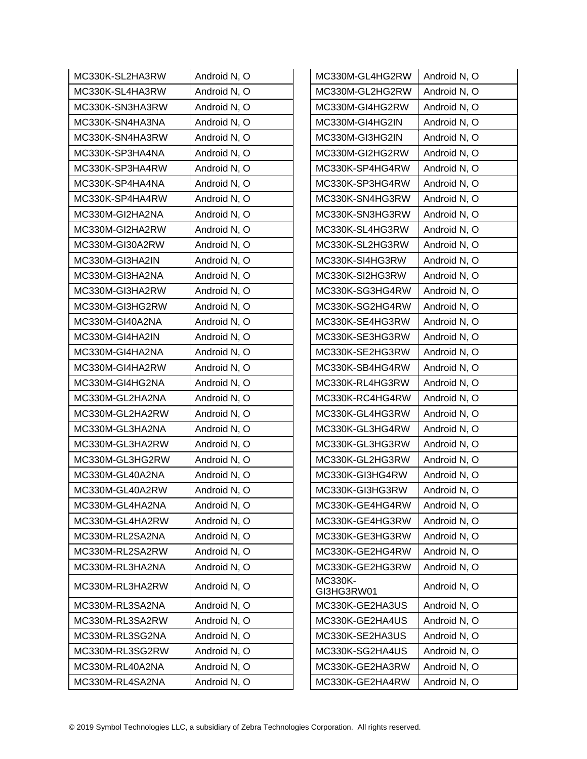| MC330K-SL2HA3RW | Android N, O | MC330M-GL4HG2RW              | Android N, O |
|-----------------|--------------|------------------------------|--------------|
| MC330K-SL4HA3RW | Android N, O | MC330M-GL2HG2RW              | Android N, O |
| MC330K-SN3HA3RW | Android N, O | MC330M-GI4HG2RW              | Android N, O |
| MC330K-SN4HA3NA | Android N, O | MC330M-GI4HG2IN              | Android N, O |
| MC330K-SN4HA3RW | Android N, O | MC330M-GI3HG2IN              | Android N, O |
| MC330K-SP3HA4NA | Android N, O | MC330M-GI2HG2RW              | Android N, O |
| MC330K-SP3HA4RW | Android N, O | MC330K-SP4HG4RW              | Android N, O |
| MC330K-SP4HA4NA | Android N, O | MC330K-SP3HG4RW              | Android N, O |
| MC330K-SP4HA4RW | Android N, O | MC330K-SN4HG3RW              | Android N, O |
| MC330M-GI2HA2NA | Android N, O | MC330K-SN3HG3RW              | Android N, O |
| MC330M-GI2HA2RW | Android N, O | MC330K-SL4HG3RW              | Android N, O |
| MC330M-GI30A2RW | Android N, O | MC330K-SL2HG3RW              | Android N, O |
| MC330M-GI3HA2IN | Android N, O | MC330K-SI4HG3RW              | Android N, O |
| MC330M-GI3HA2NA | Android N, O | MC330K-SI2HG3RW              | Android N, O |
| MC330M-GI3HA2RW | Android N, O | MC330K-SG3HG4RW              | Android N, O |
| MC330M-GI3HG2RW | Android N, O | MC330K-SG2HG4RW              | Android N, O |
| MC330M-GI40A2NA | Android N, O | MC330K-SE4HG3RW              | Android N, O |
| MC330M-GI4HA2IN | Android N, O | MC330K-SE3HG3RW              | Android N, O |
| MC330M-GI4HA2NA | Android N, O | MC330K-SE2HG3RW              | Android N, O |
| MC330M-GI4HA2RW | Android N, O | MC330K-SB4HG4RW              | Android N, O |
| MC330M-GI4HG2NA | Android N, O | MC330K-RL4HG3RW              | Android N, O |
| MC330M-GL2HA2NA | Android N, O | MC330K-RC4HG4RW              | Android N, O |
| MC330M-GL2HA2RW | Android N, O | MC330K-GL4HG3RW              | Android N, O |
| MC330M-GL3HA2NA | Android N, O | MC330K-GL3HG4RW              | Android N, O |
| MC330M-GL3HA2RW | Android N, O | MC330K-GL3HG3RW              | Android N, O |
| MC330M-GL3HG2RW | Android N, O | MC330K-GL2HG3RW              | Android N, O |
| MC330M-GL40A2NA | Android N, O | MC330K-GI3HG4RW              | Android N, O |
| MC330M-GL40A2RW | Android N, O | MC330K-GI3HG3RW              | Android N, O |
| MC330M-GL4HA2NA | Android N, O | MC330K-GE4HG4RW              | Android N, O |
| MC330M-GL4HA2RW | Android N, O | MC330K-GE4HG3RW              | Android N, O |
| MC330M-RL2SA2NA | Android N, O | MC330K-GE3HG3RW              | Android N, O |
| MC330M-RL2SA2RW | Android N, O | MC330K-GE2HG4RW              | Android N, O |
| MC330M-RL3HA2NA | Android N, O | MC330K-GE2HG3RW              | Android N, O |
| MC330M-RL3HA2RW | Android N, O | <b>MC330K-</b><br>GI3HG3RW01 | Android N, O |
| MC330M-RL3SA2NA | Android N, O | MC330K-GE2HA3US              | Android N, O |
| MC330M-RL3SA2RW | Android N, O | MC330K-GE2HA4US              | Android N, O |
| MC330M-RL3SG2NA | Android N, O | MC330K-SE2HA3US              | Android N, O |
| MC330M-RL3SG2RW | Android N, O | MC330K-SG2HA4US              | Android N, O |
| MC330M-RL40A2NA | Android N, O | MC330K-GE2HA3RW              | Android N, O |
| MC330M-RL4SA2NA | Android N, O | MC330K-GE2HA4RW              | Android N, O |